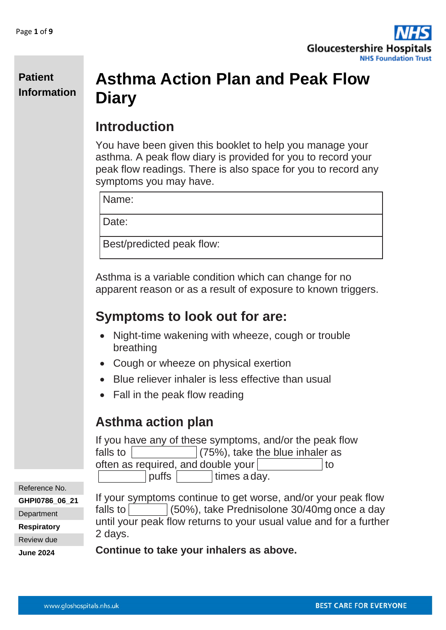

## **Asthma Action Plan and Peak Flow Diary**

## **Introduction**

You have been given this booklet to help you manage your asthma. A peak flow diary is provided for you to record your peak flow readings. There is also space for you to record any symptoms you may have.

Name:

Date:

Best/predicted peak flow:

Asthma is a variable condition which can change for no apparent reason or as a result of exposure to known triggers.

## **Symptoms to look out for are:**

- Night-time wakening with wheeze, cough or trouble breathing
- Cough or wheeze on physical exertion
- Blue reliever inhaler is less effective than usual
- Fall in the peak flow reading

## **Asthma action plan**

If you have any of these symptoms, and/or the peak flow falls to  $(75\%)$ , take the blue inhaler as often as required, and double your  $\vert$   $\vert$  to puffs | times a day.

Reference No. **GHPI0786\_06\_21**

**Department** 

**Respiratory**

Review due

**June 2024**

If your symptoms continue to get worse, and/or your peak flow falls to  $(50\%)$ , take Prednisolone 30/40mg once a day until your peak flow returns to your usual value and for a further 2 days.

**Continue to take your inhalers as above.**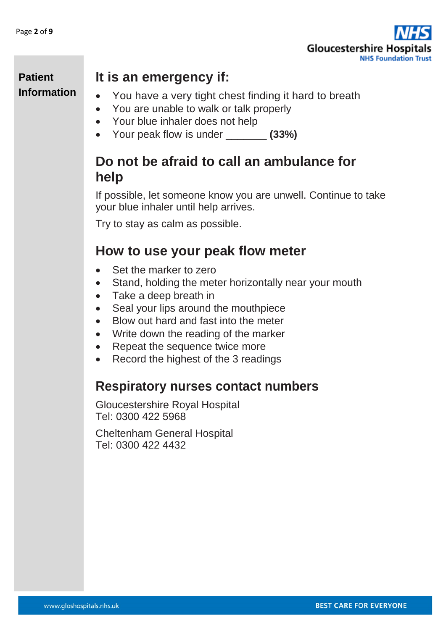

## **It is an emergency if:**

- You have a very tight chest finding it hard to breath
- You are unable to walk or talk properly
- Your blue inhaler does not help
- Your peak flow is under **(33%)**

## **Do not be afraid to call an ambulance for help**

If possible, let someone know you are unwell. Continue to take your blue inhaler until help arrives.

Try to stay as calm as possible.

### **How to use your peak flow meter**

- Set the marker to zero
- Stand, holding the meter horizontally near your mouth
- Take a deep breath in
- Seal your lips around the mouthpiece
- Blow out hard and fast into the meter
- Write down the reading of the marker
- Repeat the sequence twice more
- Record the highest of the 3 readings

#### **Respiratory nurses contact numbers**

Gloucestershire Royal Hospital Tel: 0300 422 5968

Cheltenham General Hospital Tel: 0300 422 4432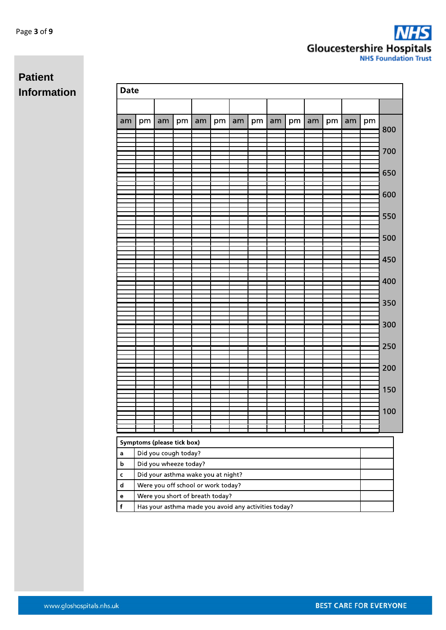| <b>Date</b>                 |                                                             |    |                      |    |    |    |    |    |    |    |    |    |    |     |
|-----------------------------|-------------------------------------------------------------|----|----------------------|----|----|----|----|----|----|----|----|----|----|-----|
|                             |                                                             |    |                      |    |    |    |    |    |    |    |    |    |    |     |
| am                          | pm                                                          | am | pm                   | am | pm | am | pm | am | pm | am | pm | am | pm |     |
|                             |                                                             |    |                      |    |    |    |    |    |    |    |    |    |    | 800 |
|                             |                                                             |    |                      |    |    |    |    |    |    |    |    |    |    |     |
|                             |                                                             |    |                      |    |    |    |    |    |    |    |    |    |    | 700 |
|                             |                                                             |    |                      |    |    |    |    |    |    |    |    |    |    | 650 |
|                             |                                                             |    |                      |    |    |    |    |    |    |    |    |    |    |     |
|                             |                                                             |    |                      |    |    |    |    |    |    |    |    |    |    | 600 |
|                             |                                                             |    |                      |    |    |    |    |    |    |    |    |    |    |     |
|                             |                                                             |    |                      |    |    |    |    |    |    |    |    |    |    | 550 |
|                             |                                                             |    |                      |    |    |    |    |    |    |    |    |    |    |     |
|                             |                                                             |    |                      |    |    |    |    |    |    |    |    |    |    | 500 |
|                             |                                                             |    |                      |    |    |    |    |    |    |    |    |    |    |     |
|                             |                                                             |    |                      |    |    |    |    |    |    |    |    |    |    | 450 |
|                             |                                                             |    |                      |    |    |    |    |    |    |    |    |    |    |     |
|                             |                                                             |    |                      |    |    |    |    |    |    |    |    |    |    | 400 |
|                             |                                                             |    |                      |    |    |    |    |    |    |    |    |    |    |     |
|                             |                                                             |    |                      |    |    |    |    |    |    |    |    |    |    | 350 |
|                             |                                                             |    |                      |    |    |    |    |    |    |    |    |    |    |     |
|                             |                                                             |    |                      |    |    |    |    |    |    |    |    |    |    | 300 |
|                             |                                                             |    |                      |    |    |    |    |    |    |    |    |    |    |     |
|                             |                                                             |    |                      |    |    |    |    |    |    |    |    |    |    | 250 |
|                             |                                                             |    |                      |    |    |    |    |    |    |    |    |    |    |     |
|                             |                                                             |    |                      |    |    |    |    |    |    |    |    |    |    | 200 |
|                             |                                                             |    |                      |    |    |    |    |    |    |    |    |    |    |     |
|                             |                                                             |    |                      |    |    |    |    |    |    |    |    |    |    | 150 |
|                             |                                                             |    |                      |    |    |    |    |    |    |    |    |    |    |     |
|                             |                                                             |    |                      |    |    |    |    |    |    |    |    |    |    | 100 |
|                             |                                                             |    |                      |    |    |    |    |    |    |    |    |    |    |     |
|                             | Symptoms (please tick box)                                  |    |                      |    |    |    |    |    |    |    |    |    |    |     |
| a                           |                                                             |    | Did you cough today? |    |    |    |    |    |    |    |    |    |    |     |
| b                           |                                                             |    |                      |    |    |    |    |    |    |    |    |    |    |     |
| C                           | Did you wheeze today?<br>Did your asthma wake you at night? |    |                      |    |    |    |    |    |    |    |    |    |    |     |
| $\operatorname{\mathsf{d}}$ | Were you off school or work today?                          |    |                      |    |    |    |    |    |    |    |    |    |    |     |
| e                           | Were you short of breath today?                             |    |                      |    |    |    |    |    |    |    |    |    |    |     |
| f                           | Has your asthma made you avoid any activities today?        |    |                      |    |    |    |    |    |    |    |    |    |    |     |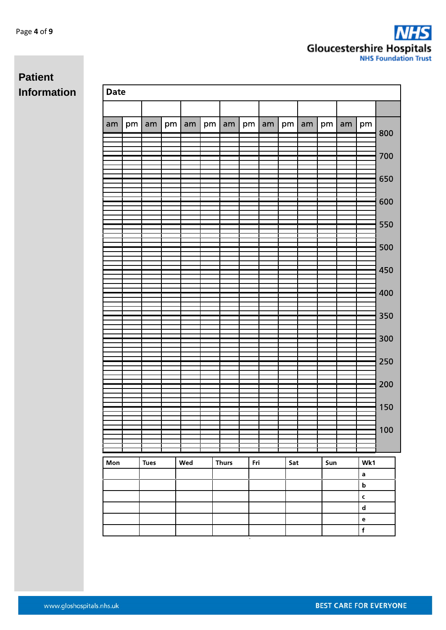| <b>Date</b> |    |             |    |     |    |              |     |    |     |         |     |    |                                                                  |     |
|-------------|----|-------------|----|-----|----|--------------|-----|----|-----|---------|-----|----|------------------------------------------------------------------|-----|
|             |    |             |    |     |    |              |     |    |     |         |     |    |                                                                  |     |
| am          | pm | am          | pm | am  | pm | am           | pm  | am |     | $pm$ am | pm  | am | pm                                                               | 800 |
|             |    |             |    |     |    |              |     |    |     |         |     |    |                                                                  |     |
|             |    |             |    |     |    |              |     |    |     |         |     |    |                                                                  | 700 |
|             |    |             |    |     |    |              |     |    |     |         |     |    |                                                                  | 650 |
|             |    |             |    |     |    |              |     |    |     |         |     |    |                                                                  |     |
|             |    |             |    |     |    |              |     |    |     |         |     |    |                                                                  | 600 |
|             |    |             |    |     |    |              |     |    |     |         |     |    |                                                                  | 550 |
|             |    |             |    |     |    |              |     |    |     |         |     |    |                                                                  |     |
|             |    |             |    |     |    |              |     |    |     |         |     |    |                                                                  | 500 |
|             |    |             |    |     |    |              |     |    |     |         |     |    |                                                                  | 450 |
|             |    |             |    |     |    |              |     |    |     |         |     |    |                                                                  |     |
|             |    |             |    |     |    |              |     |    |     |         |     |    |                                                                  | 400 |
|             |    |             |    |     |    |              |     |    |     |         |     |    |                                                                  | 350 |
|             |    |             |    |     |    |              |     |    |     |         |     |    |                                                                  |     |
|             |    |             |    |     |    |              |     |    |     |         |     |    |                                                                  | 300 |
|             |    |             |    |     |    |              |     |    |     |         |     |    |                                                                  | 250 |
|             |    |             |    |     |    |              |     |    |     |         |     |    |                                                                  |     |
|             |    |             |    |     |    |              |     |    |     |         |     |    |                                                                  | 200 |
|             |    |             |    |     |    |              |     |    |     |         |     |    |                                                                  | 150 |
|             |    |             |    |     |    |              |     |    |     |         |     |    |                                                                  |     |
|             |    |             |    |     |    |              |     |    |     |         |     |    |                                                                  | 100 |
|             |    |             |    |     |    |              |     |    |     |         |     |    |                                                                  |     |
| Mon         |    | <b>Tues</b> |    | Wed |    | <b>Thurs</b> | Fri |    | Sat |         | Sun |    | Wk1                                                              |     |
|             |    |             |    |     |    |              |     |    |     |         |     |    | a<br>$\mathbf b$                                                 |     |
|             |    |             |    |     |    |              |     |    |     |         |     |    | $\mathsf{c}$                                                     |     |
|             |    |             |    |     |    |              |     |    |     |         |     |    | $\operatorname{\mathsf{d}}$<br>$\mathbf{e}% _{t}\left( t\right)$ |     |
|             |    |             |    |     |    |              |     |    |     |         |     |    | $\mathbf f$                                                      |     |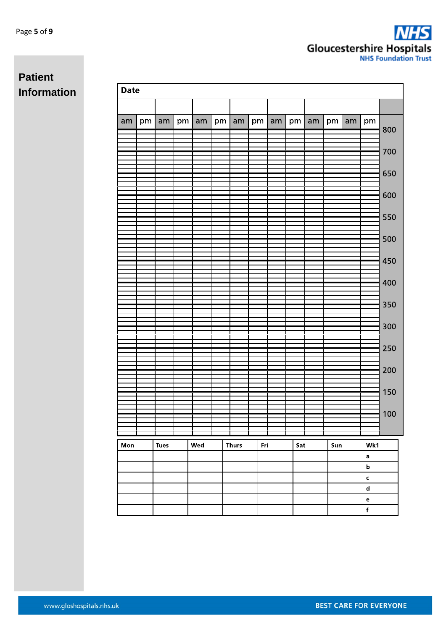| <b>Date</b> |    |             |    |     |    |              |     |    |     |    |     |    |                                   |     |
|-------------|----|-------------|----|-----|----|--------------|-----|----|-----|----|-----|----|-----------------------------------|-----|
|             |    |             |    |     |    |              |     |    |     |    |     |    |                                   |     |
| am          | pm | am          | pm | am  | pm | am           | pm  | am | pm  | am | pm  | am | pm                                |     |
|             |    |             |    |     |    |              |     |    |     |    |     |    |                                   | 800 |
|             |    |             |    |     |    |              |     |    |     |    |     |    |                                   | 700 |
|             |    |             |    |     |    |              |     |    |     |    |     |    |                                   |     |
|             |    |             |    |     |    |              |     |    |     |    |     |    |                                   | 650 |
|             |    |             |    |     |    |              |     |    |     |    |     |    |                                   |     |
|             |    |             |    |     |    |              |     |    |     |    |     |    |                                   | 600 |
|             |    |             |    |     |    |              |     |    |     |    |     |    |                                   | 550 |
|             |    |             |    |     |    |              |     |    |     |    |     |    |                                   |     |
|             |    |             |    |     |    |              |     |    |     |    |     |    |                                   | 500 |
|             |    |             |    |     |    |              |     |    |     |    |     |    |                                   |     |
|             |    |             |    |     |    |              |     |    |     |    |     |    |                                   | 450 |
|             |    |             |    |     |    |              |     |    |     |    |     |    |                                   | 400 |
|             |    |             |    |     |    |              |     |    |     |    |     |    |                                   |     |
|             |    |             |    |     |    |              |     |    |     |    |     |    |                                   | 350 |
|             |    |             |    |     |    |              |     |    |     |    |     |    |                                   |     |
|             |    |             |    |     |    |              |     |    |     |    |     |    |                                   | 300 |
|             |    |             |    |     |    |              |     |    |     |    |     |    |                                   | 250 |
|             |    |             |    |     |    |              |     |    |     |    |     |    |                                   |     |
|             |    |             |    |     |    |              |     |    |     |    |     |    |                                   | 200 |
|             |    |             |    |     |    |              |     |    |     |    |     |    |                                   |     |
|             |    |             |    |     |    |              |     |    |     |    |     |    |                                   | 150 |
|             |    |             |    |     |    |              |     |    |     |    |     |    |                                   | 100 |
|             |    |             |    |     |    |              |     |    |     |    |     |    |                                   |     |
|             |    |             |    |     |    |              |     |    |     |    |     |    |                                   |     |
| Mon         |    | <b>Tues</b> |    | Wed |    | <b>Thurs</b> | Fri |    | Sat |    | Sun |    | Wk1<br>a                          |     |
|             |    |             |    |     |    |              |     |    |     |    |     |    | $\bold{b}$                        |     |
|             |    |             |    |     |    |              |     |    |     |    |     |    | $\mathsf{c}$                      |     |
|             |    |             |    |     |    |              |     |    |     |    |     |    | $\mathbf d$                       |     |
|             |    |             |    |     |    |              |     |    |     |    |     |    | $\mathbf{e}% _{t}\left( t\right)$ |     |
|             |    |             |    |     |    |              |     |    |     |    |     |    | $\overline{f}$                    |     |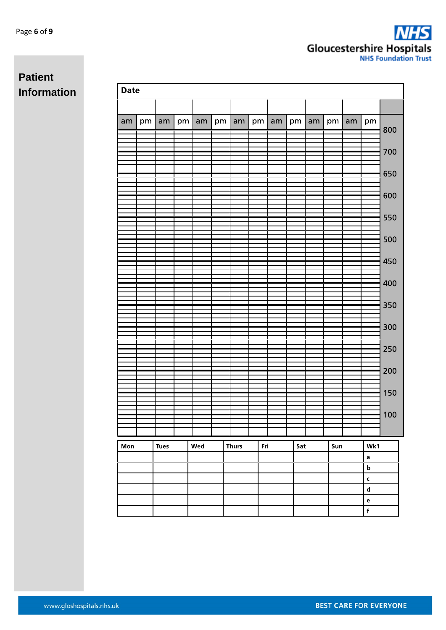| <b>Date</b> |    |             |    |     |    |              |     |    |     |              |     |    |                             |     |
|-------------|----|-------------|----|-----|----|--------------|-----|----|-----|--------------|-----|----|-----------------------------|-----|
|             |    |             |    |     |    |              |     |    |     |              |     |    |                             |     |
| am          | pm | am          | pm | am  | pm | am           | pm  | am |     | $pm \mid am$ | pm  | am | pm                          |     |
|             |    |             |    |     |    |              |     |    |     |              |     |    |                             | 800 |
|             |    |             |    |     |    |              |     |    |     |              |     |    |                             | 700 |
|             |    |             |    |     |    |              |     |    |     |              |     |    |                             |     |
|             |    |             |    |     |    |              |     |    |     |              |     |    |                             | 650 |
|             |    |             |    |     |    |              |     |    |     |              |     |    |                             |     |
|             |    |             |    |     |    |              |     |    |     |              |     |    |                             | 600 |
|             |    |             |    |     |    |              |     |    |     |              |     |    |                             | 550 |
|             |    |             |    |     |    |              |     |    |     |              |     |    |                             |     |
|             |    |             |    |     |    |              |     |    |     |              |     |    |                             | 500 |
|             |    |             |    |     |    |              |     |    |     |              |     |    |                             |     |
|             |    |             |    |     |    |              |     |    |     |              |     |    |                             | 450 |
|             |    |             |    |     |    |              |     |    |     |              |     |    |                             | 400 |
|             |    |             |    |     |    |              |     |    |     |              |     |    |                             |     |
|             |    |             |    |     |    |              |     |    |     |              |     |    |                             | 350 |
|             |    |             |    |     |    |              |     |    |     |              |     |    |                             |     |
|             |    |             |    |     |    |              |     |    |     |              |     |    |                             | 300 |
|             |    |             |    |     |    |              |     |    |     |              |     |    |                             | 250 |
|             |    |             |    |     |    |              |     |    |     |              |     |    |                             |     |
|             |    |             |    |     |    |              |     |    |     |              |     |    |                             | 200 |
|             |    |             |    |     |    |              |     |    |     |              |     |    |                             |     |
|             |    |             |    |     |    |              |     |    |     |              |     |    |                             | 150 |
|             |    |             |    |     |    |              |     |    |     |              |     |    |                             | 100 |
|             |    |             |    |     |    |              |     |    |     |              |     |    |                             |     |
|             |    |             |    |     |    |              | Fri |    |     |              |     |    |                             |     |
| Mon         |    | <b>Tues</b> |    | Wed |    | <b>Thurs</b> |     |    | Sat |              | Sun |    | Wk1<br>a                    |     |
|             |    |             |    |     |    |              |     |    |     |              |     |    | $\bold{b}$                  |     |
|             |    |             |    |     |    |              |     |    |     |              |     |    |                             |     |
|             |    |             |    |     |    |              |     |    |     |              |     |    | $\operatorname{\mathsf{d}}$ |     |
|             |    |             |    |     |    |              |     |    |     |              |     |    | $\mathbf{e}% _{B}$<br>f     |     |
|             |    |             |    |     |    |              |     |    |     |              |     |    |                             |     |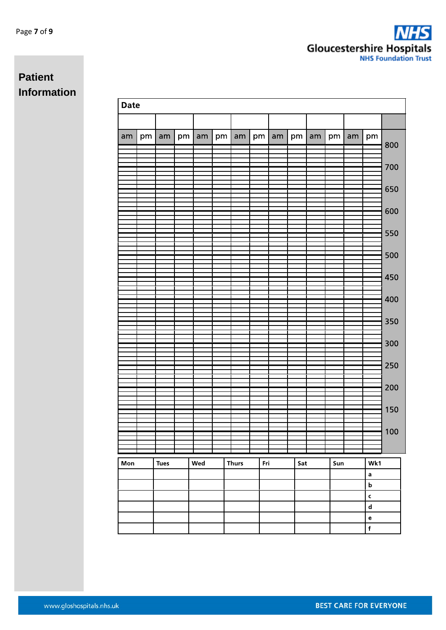| <b>Date</b> |    |             |    |     |    |              |     |              |     |              |     |         |                                   |     |
|-------------|----|-------------|----|-----|----|--------------|-----|--------------|-----|--------------|-----|---------|-----------------------------------|-----|
|             |    |             |    |     |    |              |     |              |     |              |     |         |                                   |     |
| am          | pm | am          | pm | am  | pm | am           |     | $pm \mid am$ |     | $pm \mid am$ |     | $pm$ am | pm                                | 800 |
|             |    |             |    |     |    |              |     |              |     |              |     |         |                                   |     |
|             |    |             |    |     |    |              |     |              |     |              |     |         |                                   | 700 |
|             |    |             |    |     |    |              |     |              |     |              |     |         |                                   | 650 |
|             |    |             |    |     |    |              |     |              |     |              |     |         |                                   | 600 |
|             |    |             |    |     |    |              |     |              |     |              |     |         |                                   |     |
|             |    |             |    |     |    |              |     |              |     |              |     |         |                                   | 550 |
|             |    |             |    |     |    |              |     |              |     |              |     |         |                                   | 500 |
|             |    |             |    |     |    |              |     |              |     |              |     |         |                                   | 450 |
|             |    |             |    |     |    |              |     |              |     |              |     |         |                                   |     |
|             |    |             |    |     |    |              |     |              |     |              |     |         |                                   | 400 |
|             |    |             |    |     |    |              |     |              |     |              |     |         |                                   | 350 |
|             |    |             |    |     |    |              |     |              |     |              |     |         |                                   | 300 |
|             |    |             |    |     |    |              |     |              |     |              |     |         |                                   | 250 |
|             |    |             |    |     |    |              |     |              |     |              |     |         |                                   |     |
|             |    |             |    |     |    |              |     |              |     |              |     |         |                                   | 200 |
|             |    |             |    |     |    |              |     |              |     |              |     |         |                                   | 150 |
|             |    |             |    |     |    |              |     |              |     |              |     |         |                                   | 100 |
|             |    |             |    |     |    |              |     |              |     |              |     |         |                                   |     |
| Mon         |    | <b>Tues</b> |    | Wed |    | <b>Thurs</b> | Fri |              | Sat |              | Sun |         | Wk1                               |     |
|             |    |             |    |     |    |              |     |              |     |              |     |         | a                                 |     |
|             |    |             |    |     |    |              |     |              |     |              |     |         | $\mathbf b$<br>$\mathbf c$        |     |
|             |    |             |    |     |    |              |     |              |     |              |     |         | $\mathbf d$                       |     |
|             |    |             |    |     |    |              |     |              |     |              |     |         | $\mathbf{e}% _{t}\left( t\right)$ |     |
|             |    |             |    |     |    |              |     |              |     |              |     |         | $\mathbf f$                       |     |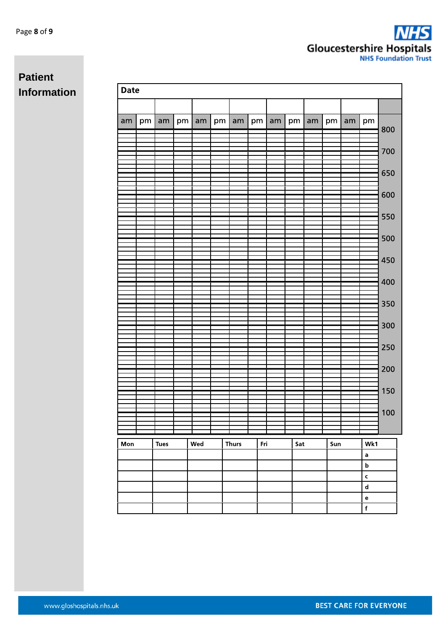| Date |    |             |    |     |    |              |    |     |     |    |     |    |                            |     |
|------|----|-------------|----|-----|----|--------------|----|-----|-----|----|-----|----|----------------------------|-----|
|      |    |             |    |     |    |              |    |     |     |    |     |    |                            |     |
| am   | pm | am          | pm | am  | pm | am           | pm | am  | pm  | am | pm  | am | pm                         | 800 |
|      |    |             |    |     |    |              |    |     |     |    |     |    |                            |     |
|      |    |             |    |     |    |              |    |     |     |    |     |    |                            | 700 |
|      |    |             |    |     |    |              |    |     |     |    |     |    |                            |     |
|      |    |             |    |     |    |              |    |     |     |    |     |    |                            | 650 |
|      |    |             |    |     |    |              |    |     |     |    |     |    |                            | 600 |
|      |    |             |    |     |    |              |    |     |     |    |     |    |                            |     |
|      |    |             |    |     |    |              |    |     |     |    |     |    |                            | 550 |
|      |    |             |    |     |    |              |    |     |     |    |     |    |                            | 500 |
|      |    |             |    |     |    |              |    |     |     |    |     |    |                            |     |
|      |    |             |    |     |    |              |    |     |     |    |     |    |                            | 450 |
|      |    |             |    |     |    |              |    |     |     |    |     |    |                            | 400 |
|      |    |             |    |     |    |              |    |     |     |    |     |    |                            |     |
|      |    |             |    |     |    |              |    |     |     |    |     |    |                            | 350 |
|      |    |             |    |     |    |              |    |     |     |    |     |    |                            | 300 |
|      |    |             |    |     |    |              |    |     |     |    |     |    |                            |     |
|      |    |             |    |     |    |              |    |     |     |    |     |    |                            | 250 |
|      |    |             |    |     |    |              |    |     |     |    |     |    |                            | 200 |
|      |    |             |    |     |    |              |    |     |     |    |     |    |                            |     |
|      |    |             |    |     |    |              |    |     |     |    |     |    |                            | 150 |
|      |    |             |    |     |    |              |    |     |     |    |     |    |                            | 100 |
|      |    |             |    |     |    |              |    |     |     |    |     |    |                            |     |
| Mon  |    | <b>Tues</b> |    | Wed |    | <b>Thurs</b> |    | Fri | Sat |    | Sun |    | Wk1                        |     |
|      |    |             |    |     |    |              |    |     |     |    |     |    | a                          |     |
|      |    |             |    |     |    |              |    |     |     |    |     |    | $\bold{b}$                 |     |
|      |    |             |    |     |    |              |    |     |     |    |     |    | $\mathbf c$<br>$\mathbf d$ |     |
|      |    |             |    |     |    |              |    |     |     |    |     |    | $\mathbf e$                |     |
|      |    |             |    |     |    |              |    |     |     |    |     |    | $\mathsf f$                |     |